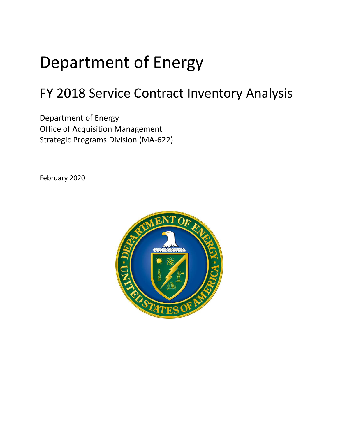# Department of Energy

## FY 2018 Service Contract Inventory Analysis

Department of Energy Office of Acquisition Management Strategic Programs Division (MA-622)

February 2020

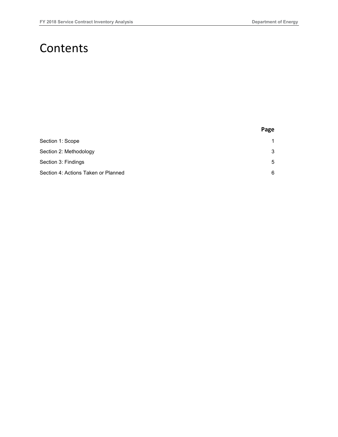### Contents

|                                     | Page |
|-------------------------------------|------|
| Section 1: Scope                    | 1    |
| Section 2: Methodology              | 3    |
| Section 3: Findings                 | 5    |
| Section 4: Actions Taken or Planned | 6    |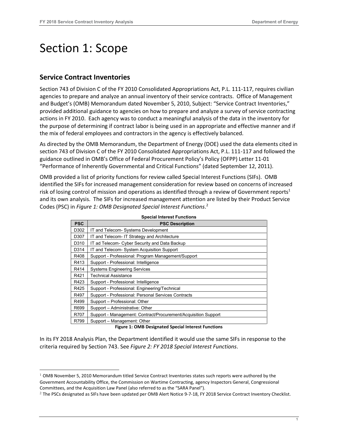### <span id="page-2-0"></span>Section 1: Scope

#### **Service Contract Inventories**

<u>.</u>

Section 743 of Division C of the FY 2010 Consolidated Appropriations Act, P.L. 111-117, requires civilian agencies to prepare and analyze an annual inventory of their service contracts. Office of Management and Budget's (OMB) Memorandum dated November 5, 2010, Subject: "Service Contract Inventories," provided additional guidance to agencies on how to prepare and analyze a survey of service contracting actions in FY 2010. Each agency was to conduct a meaningful analysis of the data in the inventory for the purpose of determining if contract labor is being used in an appropriate and effective manner and if the mix of federal employees and contractors in the agency is effectively balanced.

As directed by the OMB Memorandum, the Department of Energy (DOE) used the data elements cited in section 743 of Division C of the FY 2010 Consolidated Appropriations Act, P.L. 111-117 and followed the guidance outlined in OMB's Office of Federal Procurement Policy's Policy (OFPP) Letter 11-01 "Performance of Inherently Governmental and Critical Functions" (dated September 12, 2011).

OMB provided a list of priority functions for review called Special Interest Functions (SIFs). OMB identified the SIFs for increased management consideration for review based on concerns of increased risk of losing control of mission and operations as identified through a review of Government reports<sup>1</sup> and its own analysis. The SIFs for increased management attention are listed by their Product Service Codes (PSC) in *Figure 1: OMB Designated Special Interest Functions*. 2

| <b>PSC</b> | <b>PSC Description</b>                                         |
|------------|----------------------------------------------------------------|
| D302       | IT and Telecom- Systems Development                            |
| D307       | IT and Telecom- IT Strategy and Architecture                   |
| D310       | IT ad Telecom- Cyber Security and Data Backup                  |
| D314       | IT and Telecom- System Acquisition Support                     |
| R408       | Support - Professional: Program Management/Support             |
| R413       | Support - Professional: Intelligence                           |
| R414       | <b>Systems Engineering Services</b>                            |
| R421       | <b>Technical Assistance</b>                                    |
| R423       | Support - Professional: Intelligence                           |
| R425       | Support - Professional: Engineering/Technical                  |
| R497       | Support - Professional: Personal Services Contracts            |
| R499       | Support - Professional: Other                                  |
| R699       | Support - Administrative: Other                                |
| R707       | Support - Management: Contract/Procurement/Acquisition Support |
| R799       | Support - Management: Other                                    |

| <b>Special Interest Functions</b> |
|-----------------------------------|
|-----------------------------------|

**Figure 1: OMB Designated Special Interest Functions**

In its FY 2018 Analysis Plan, the Department identified it would use the same SIFs in response to the criteria required by Section 743. See *Figure 2: FY 2018 Special Interest Functions*.

<sup>&</sup>lt;sup>1</sup> OMB November 5, 2010 Memorandum titled Service Contract Inventories states such reports were authored by the Government Accountability Office, the Commission on Wartime Contracting, agency Inspectors General, Congressional Committees, and the Acquisition Law Panel (also referred to as the "SARA Panel").

<sup>&</sup>lt;sup>2</sup> The PSCs designated as SIFs have been updated per OMB Alert Notice 9-7-18, FY 2018 Service Contract Inventory Checklist.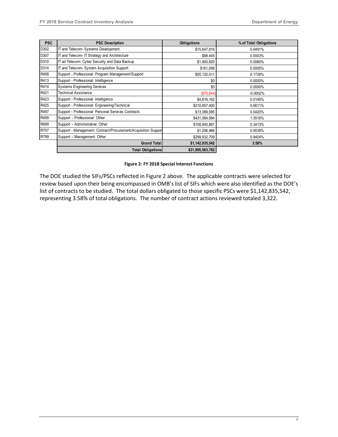| <b>PSC</b> | <b>PSC Description</b>                                        | <b>Obligations</b> | % of Total Obligations |
|------------|---------------------------------------------------------------|--------------------|------------------------|
| D302       | IT and Telecom- Systems Development                           | \$15,647,816       | 0.0491%                |
| D307       | IT and Telecom- IT Strategy and Architecture                  | \$98,445           | 0.0003%                |
| D310       | IT ad Telecom- Cyber Security and Data Backup                 | \$1,900,820        | 0.0060%                |
| D314       | IT and Telecom- System Acquisition Support                    | \$161,096          | 0.0005%                |
| R408       | Support - Professional: Program Management/Support            | \$55,120,011       | 0.1728%                |
| R413       | Support - Professional: Intelligence                          | \$0                | 0.0000%                |
| R414       | <b>Systems Engineering Services</b>                           | \$0                | 0.0000%                |
| R421       | <b>Technical Assistance</b>                                   | (\$75,844)         | $-0.0002%$             |
| R423       | Support - Professional: Intelligence                          | \$4,616,162        | 0.0145%                |
| R425       | Support - Professional: Engineering/Technical                 | \$210,857,400      | 0.6611%                |
| R497       | Support - Professional: Personal Services Contracts           | \$13,389,085       | 0.0420%                |
| R499       | Support - Professional: Other                                 | \$431,084,994      | 1.3516%                |
| R699       | Support - Administrative: Other                               | \$108,845,881      | 0.3413%                |
| R707       | Support - Management: Contract/Procurement/Acquisition Suppor | \$1,256,966        | 0.0039%                |
| R799       | Support - Management: Other                                   | \$299,932,709      | 0.9404%                |
|            | <b>Grand Total</b>                                            | \$1,142,835,542    | 3.58%                  |
|            | <b>Total Obligations</b>                                      | \$31,895,563,762   |                        |

#### **Figure 2: FY 2018 Special Interest Functions**

The DOE studied the SIFs/PSCs reflected in Figure 2 above. The applicable contracts were selected for review based upon their being encompassed in OMB's list of SIFs which were also identified as the DOE's list of contracts to be studied. The total dollars obligated to those specific PSCs were \$1,142,835,542, representing 3.58% of total obligations. The number of contract actions reviewed totaled 3,322.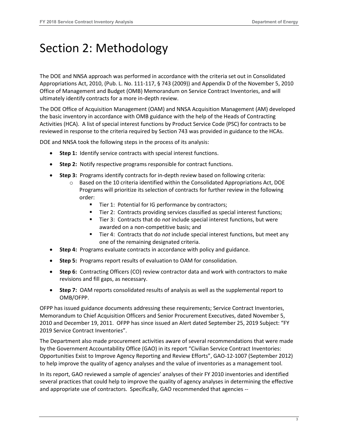### <span id="page-4-0"></span>Section 2: Methodology

The DOE and NNSA approach was performed in accordance with the criteria set out in Consolidated Appropriations Act, 2010, (Pub. L. No. 111-117, § 743 (2009)) and Appendix D of the November 5, 2010 Office of Management and Budget (OMB) Memorandum on Service Contract Inventories, and will ultimately identify contracts for a more in-depth review.

The DOE Office of Acquisition Management (OAM) and NNSA Acquisition Management (AM) developed the basic inventory in accordance with OMB guidance with the help of the Heads of Contracting Activities (HCA). A list of special interest functions by Product Service Code (PSC) for contracts to be reviewed in response to the criteria required by Section 743 was provided in guidance to the HCAs.

DOE and NNSA took the following steps in the process of its analysis:

- **Step 1:** Identify service contracts with special interest functions.
- **Step 2:** Notify respective programs responsible for contract functions.
- **Step 3:** Programs identify contracts for in-depth review based on following criteria:
	- o Based on the 10 criteria identified within the Consolidated Appropriations Act, DOE Programs will prioritize its selection of contracts for further review in the following order:
		- **Tier 1: Potential for IG performance by contractors;**
		- Tier 2: Contracts providing services classified as special interest functions;
		- Tier 3: Contracts that do *not* include special interest functions, but were awarded on a non-competitive basis; and
		- Tier 4: Contracts that do *not* include special interest functions, but meet any one of the remaining designated criteria.
- **Step 4:** Programs evaluate contracts in accordance with policy and guidance.
- **Step 5:** Programs report results of evaluation to OAM for consolidation.
- **Step 6:** Contracting Officers (CO) review contractor data and work with contractors to make revisions and fill gaps, as necessary.
- **Step 7:** OAM reports consolidated results of analysis as well as the supplemental report to OMB/OFPP.

OFPP has issued guidance documents addressing these requirements; Service Contract Inventories, Memorandum to Chief Acquisition Officers and Senior Procurement Executives, dated November 5, 2010 and December 19, 2011. OFPP has since issued an Alert dated September 25, 2019 Subject: "FY 2019 Service Contract Inventories".

The Department also made procurement activities aware of several recommendations that were made by the Government Accountability Office (GAO) in its report "Civilian Service Contract Inventories: [Opportunities Exist to Improve Agency Reporting and Review Efforts", GAO](http://www.gao.gov/assets/650/648939.pdf)-12-1007 (September 2012) to help improve the quality of agency analyses and the value of inventories as a management tool.

In its report, GAO reviewed a sample of agencies' analyses of their FY 2010 inventories and identified several practices that could help to improve the quality of agency analyses in determining the effective and appropriate use of contractors. Specifically, GAO recommended that agencies --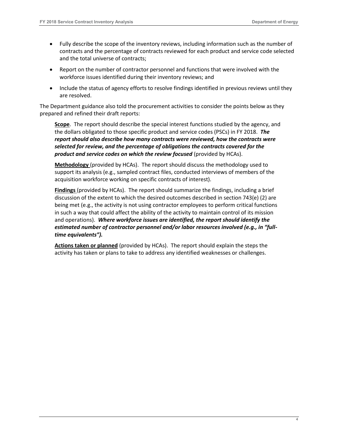- Fully describe the scope of the inventory reviews, including information such as the number of contracts and the percentage of contracts reviewed for each product and service code selected and the total universe of contracts;
- Report on the number of contractor personnel and functions that were involved with the workforce issues identified during their inventory reviews; and
- Include the status of agency efforts to resolve findings identified in previous reviews until they are resolved.

The Department guidance also told the procurement activities to consider the points below as they prepared and refined their draft reports:

**Scope**. The report should describe the special interest functions studied by the agency, and the dollars obligated to those specific product and service codes (PSCs) in FY 2018. *The report should also describe how many contracts were reviewed, how the contracts were selected for review, and the percentage of obligations the contracts covered for the product and service codes on which the review focused* (provided by HCAs).

**Methodology** (provided by HCAs). The report should discuss the methodology used to support its analysis (e.g., sampled contract files, conducted interviews of members of the acquisition workforce working on specific contracts of interest).

**Findings** (provided by HCAs). The report should summarize the findings, including a brief discussion of the extent to which the desired outcomes described in section 743(e) (2) are being met (e.g., the activity is not using contractor employees to perform critical functions in such a way that could affect the ability of the activity to maintain control of its mission and operations). *Where workforce issues are identified, the report should identify the estimated number of contractor personnel and/or labor resources involved (e.g., in "fulltime equivalents").*

**Actions taken or planned** (provided by HCAs). The report should explain the steps the activity has taken or plans to take to address any identified weaknesses or challenges.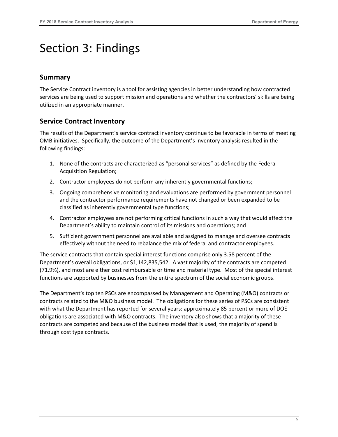### <span id="page-6-0"></span>Section 3: Findings

#### **Summary**

The Service Contract inventory is a tool for assisting agencies in better understanding how contracted services are being used to support mission and operations and whether the contractors' skills are being utilized in an appropriate manner.

#### **Service Contract Inventory**

The results of the Department's service contract inventory continue to be favorable in terms of meeting OMB initiatives. Specifically, the outcome of the Department's inventory analysis resulted in the following findings:

- 1. None of the contracts are characterized as "personal services" as defined by the Federal Acquisition Regulation;
- 2. Contractor employees do not perform any inherently governmental functions;
- 3. Ongoing comprehensive monitoring and evaluations are performed by government personnel and the contractor performance requirements have not changed or been expanded to be classified as inherently governmental type functions;
- 4. Contractor employees are not performing critical functions in such a way that would affect the Department's ability to maintain control of its missions and operations; and
- 5. Sufficient government personnel are available and assigned to manage and oversee contracts effectively without the need to rebalance the mix of federal and contractor employees.

The service contracts that contain special interest functions comprise only 3.58 percent of the Department's overall obligations, or \$1,142,835,542. A vast majority of the contracts are competed (71.9%), and most are either cost reimbursable or time and material type. Most of the special interest functions are supported by businesses from the entire spectrum of the social economic groups.

The Department's top ten PSCs are encompassed by Management and Operating (M&O) contracts or contracts related to the M&O business model. The obligations for these series of PSCs are consistent with what the Department has reported for several years: approximately 85 percent or more of DOE obligations are associated with M&O contracts. The inventory also shows that a majority of these contracts are competed and because of the business model that is used, the majority of spend is through cost type contracts.